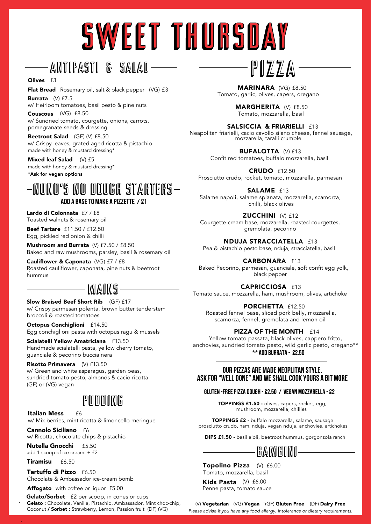## SWEET THURSDAY

## Antipasti & SALAD

#### Olives f3

Flat Bread Rosemary oil, salt & black pepper (VG) £3

Burrata (V) £7.5 w/ Heirloom tomatoes, basil pesto & pine nuts

Couscous (VG) £8.50 w/ Sundried tomato, courgette, onions, carrots, pomegranate seeds & dressing

Beetroot Salad (GF) (V) £8.50 w/ Crispy leaves, grated aged ricotta & pistachio made with honey & mustard dressing\*

Mixed leaf Salad  $(V)$  £5 made with honey & mustard dressing\* \*Ask for vegan options

#### add a baseto make a pizzetTe / £1 NUNO's no dough starters

Lardo di Colonnata £7 / £8 Toasted walnuts & rosemary oil

**Beef Tartare**  $f11.50 / f12.50$ Egg, pickled red onion & chilli

Mushroom and Burrata (V) £7.50 / £8.50 Baked and raw mushrooms, parsley, basil & rosemary oil

Cauliflower & Caponata (VG) £7 / £8 Roasted cauliflower, caponata, pine nuts & beetroot hummus .

#### MAINS

Slow Braised Beef Short Rib (GF) £17 w/ Crispy parmesan polenta, brown butter tenderstem broccoli & roasted tomatoes

Octopus Conchiglioni £14.50 Egg conchiglioni pasta with octopus ragu & mussels

Scialatelli Yellow Amatriciana £13.50 Handmade scialatelli pasta, yellow cherry tomato, guanciale & pecorino buccia nera

Risotto Primavera (V) £13.50 w/ Green and white asparagus, garden peas, sundried tomato pesto, almonds & cacio ricotta (GF) or (VG) vegan

#### PUDDING

**Italian Mess** f6 w/ Mix berries, mint ricotta & limoncello meringue

Cannolo Siciliano £6 w/ Ricotta, chocolate chips & pistachio

Nutella Gnocchi £5.50 add 1 scoop of ice cream: + £2

Tiramisu £6.50

.

.

Tartuffo di Pizzo £6.50 Chocolate & Ambassador ice-cream bomb

Affogato with coffee or liquor £5.00

Gelato : Chocolate, Vanilla, Pistachio, Ambassador, Mint choc-chip, Coconut / Sorbet : Strawberry, Lemon, Passion fruit (DF) (VG) Gelato/Sorbet £2 per scoop, in cones or cups

MARINARA (VG) £8.50 Tomato, garlic, olives, capers, oregano

PIZZA

MARGHERITA (V) £8.50 Tomato, mozzarella, basil

SALSICCIA & FRIARIELLI £13 Neapolitan friarielli, cacio cavollo silano cheese, fennel sausage, mozzarella, taralli crumble

> BUFALOTTA (V) £13 Confit red tomatoes, buffalo mozzarella, basil

CRUDO £12.50 Prosciutto crudo, rocket, tomato, mozzarella, parmesan

SALAME £13 Salame napoli, salame spianata, mozzarella, scamorza, chilli, black olives

ZUCCHINI (V) £12

Courgette cream base, mozzarella, roasted courgettes, gremolata, pecorino

NDUJA STRACCIATELLA £13 Pea & pistachio pesto base, nduja, stracciatella, basil

CARBONARA £13 Baked Pecorino, parmesan, guanciale, soft confit egg yolk, black pepper

CAPRICCIOSA £13 Tomato sauce, mozzarella, ham, mushroom, olives, artichoke

PORCHETTA £12.50 Roasted fennel base, sliced pork belly, mozzarella, scamorza, fennel, gremolata and lemon oil

#### PIZZA OF THE MONTH £14

Yellow tomato passata, black olives, cappero fritto, anchovies, sundried tomato pesto, wild garlic pesto, oregano\*\*  $**$  ADD BURRATA - £2.50

#### OUR PIZZAS ARE MADE NEOPLITAN STYLE. ask for "well done" and we SHall cook Yours A bit more

#### GLUTEN -FREE pizza dough - £2.50 / Vegan mozzarella - £2

TOPPINGS £1.50 - olives, capers, rocket, egg, mushroom, mozzarella, chillies

TOPPINGS £2 - buffalo mozzarella, salame, sausage prosciutto crudo, ham, nduja, vegan nduja, anchovies, artichokes

DIPS £1.50 - basil aioli, beetroot hummus, gorgonzola ranch

### BAMBINI

Topolino Pizza (V) £6.00 Tomato, mozzarella, basil

Kids Pasta (V) £6.00 Penne pasta, tomato sauce

(V) Vegetarian (VG) Vegan (GF) Gluten Free (DF) Dairy Free *Please advise if you have any food allergy, intolerance or dietary requirements.*